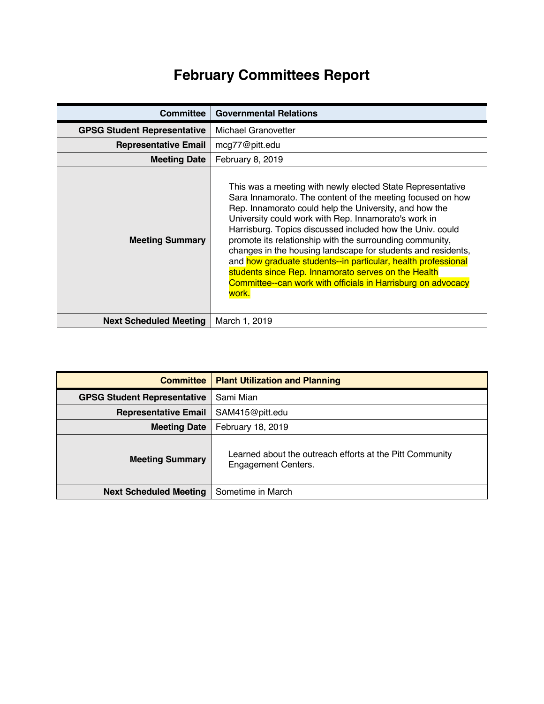## **February Committees Report**

| <b>Committee</b>                   | <b>Governmental Relations</b>                                                                                                                                                                                                                                                                                                                                                                                                                                                                                                                                                                                                        |
|------------------------------------|--------------------------------------------------------------------------------------------------------------------------------------------------------------------------------------------------------------------------------------------------------------------------------------------------------------------------------------------------------------------------------------------------------------------------------------------------------------------------------------------------------------------------------------------------------------------------------------------------------------------------------------|
| <b>GPSG Student Representative</b> | <b>Michael Granovetter</b>                                                                                                                                                                                                                                                                                                                                                                                                                                                                                                                                                                                                           |
| <b>Representative Email</b>        | mcg77@pitt.edu                                                                                                                                                                                                                                                                                                                                                                                                                                                                                                                                                                                                                       |
| <b>Meeting Date</b>                | February 8, 2019                                                                                                                                                                                                                                                                                                                                                                                                                                                                                                                                                                                                                     |
| <b>Meeting Summary</b>             | This was a meeting with newly elected State Representative<br>Sara Innamorato. The content of the meeting focused on how<br>Rep. Innamorato could help the University, and how the<br>University could work with Rep. Innamorato's work in<br>Harrisburg. Topics discussed included how the Univ. could<br>promote its relationship with the surrounding community,<br>changes in the housing landscape for students and residents,<br>and how graduate students--in particular, health professional<br>students since Rep. Innamorato serves on the Health<br>Committee--can work with officials in Harrisburg on advocacy<br>work. |
| <b>Next Scheduled Meeting</b>      | March 1, 2019                                                                                                                                                                                                                                                                                                                                                                                                                                                                                                                                                                                                                        |

| <b>Committee</b>                   | <b>Plant Utilization and Planning</b>                                                  |
|------------------------------------|----------------------------------------------------------------------------------------|
| <b>GPSG Student Representative</b> | Sami Mian                                                                              |
| <b>Representative Email</b>        | SAM415@pitt.edu                                                                        |
| <b>Meeting Date</b>                | February 18, 2019                                                                      |
| <b>Meeting Summary</b>             | Learned about the outreach efforts at the Pitt Community<br><b>Engagement Centers.</b> |
| <b>Next Scheduled Meeting</b>      | Sometime in March                                                                      |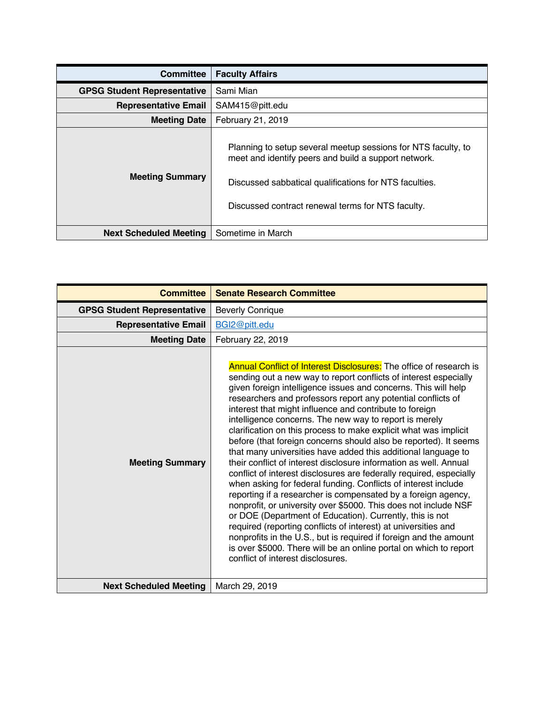| <b>Committee</b>                   | <b>Faculty Affairs</b>                                                                                                                                                                                                               |
|------------------------------------|--------------------------------------------------------------------------------------------------------------------------------------------------------------------------------------------------------------------------------------|
| <b>GPSG Student Representative</b> | Sami Mian                                                                                                                                                                                                                            |
| <b>Representative Email</b>        | SAM415@pitt.edu                                                                                                                                                                                                                      |
| <b>Meeting Date</b>                | February 21, 2019                                                                                                                                                                                                                    |
| <b>Meeting Summary</b>             | Planning to setup several meetup sessions for NTS faculty, to<br>meet and identify peers and build a support network.<br>Discussed sabbatical qualifications for NTS faculties.<br>Discussed contract renewal terms for NTS faculty. |
| <b>Next Scheduled Meeting</b>      | Sometime in March                                                                                                                                                                                                                    |

| <b>Committee</b>                   | <b>Senate Research Committee</b>                                                                                                                                                                                                                                                                                                                                                                                                                                                                                                                                                                                                                                                                                                                                                                                                                                                                                                                                                                                                                                                                                                                                                                                                                                             |
|------------------------------------|------------------------------------------------------------------------------------------------------------------------------------------------------------------------------------------------------------------------------------------------------------------------------------------------------------------------------------------------------------------------------------------------------------------------------------------------------------------------------------------------------------------------------------------------------------------------------------------------------------------------------------------------------------------------------------------------------------------------------------------------------------------------------------------------------------------------------------------------------------------------------------------------------------------------------------------------------------------------------------------------------------------------------------------------------------------------------------------------------------------------------------------------------------------------------------------------------------------------------------------------------------------------------|
| <b>GPSG Student Representative</b> | <b>Beverly Conrique</b>                                                                                                                                                                                                                                                                                                                                                                                                                                                                                                                                                                                                                                                                                                                                                                                                                                                                                                                                                                                                                                                                                                                                                                                                                                                      |
| <b>Representative Email</b>        | BGI2@pitt.edu                                                                                                                                                                                                                                                                                                                                                                                                                                                                                                                                                                                                                                                                                                                                                                                                                                                                                                                                                                                                                                                                                                                                                                                                                                                                |
| <b>Meeting Date</b>                | February 22, 2019                                                                                                                                                                                                                                                                                                                                                                                                                                                                                                                                                                                                                                                                                                                                                                                                                                                                                                                                                                                                                                                                                                                                                                                                                                                            |
| <b>Meeting Summary</b>             | <b>Annual Conflict of Interest Disclosures:</b> The office of research is<br>sending out a new way to report conflicts of interest especially<br>given foreign intelligence issues and concerns. This will help<br>researchers and professors report any potential conflicts of<br>interest that might influence and contribute to foreign<br>intelligence concerns. The new way to report is merely<br>clarification on this process to make explicit what was implicit<br>before (that foreign concerns should also be reported). It seems<br>that many universities have added this additional language to<br>their conflict of interest disclosure information as well. Annual<br>conflict of interest disclosures are federally required, especially<br>when asking for federal funding. Conflicts of interest include<br>reporting if a researcher is compensated by a foreign agency,<br>nonprofit, or university over \$5000. This does not include NSF<br>or DOE (Department of Education). Currently, this is not<br>required (reporting conflicts of interest) at universities and<br>nonprofits in the U.S., but is required if foreign and the amount<br>is over \$5000. There will be an online portal on which to report<br>conflict of interest disclosures. |
| <b>Next Scheduled Meeting</b>      | March 29, 2019                                                                                                                                                                                                                                                                                                                                                                                                                                                                                                                                                                                                                                                                                                                                                                                                                                                                                                                                                                                                                                                                                                                                                                                                                                                               |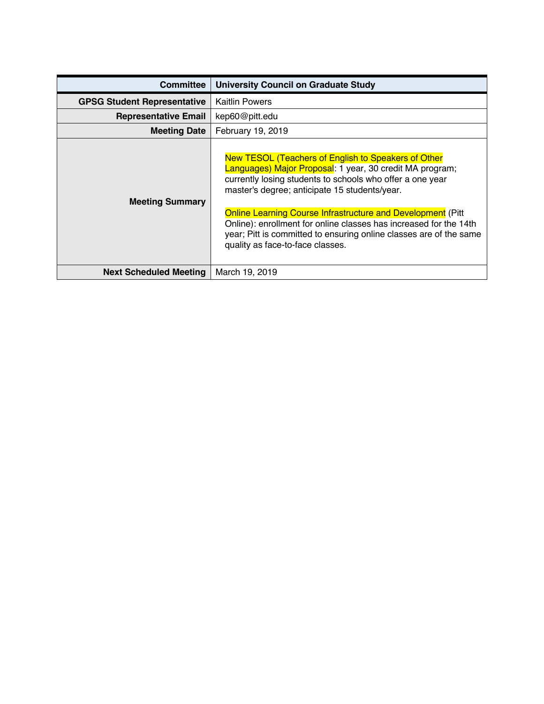| <b>Committee</b>                   | <b>University Council on Graduate Study</b>                                                                                                                                                                                                                                                                                                                                                                                                                                         |
|------------------------------------|-------------------------------------------------------------------------------------------------------------------------------------------------------------------------------------------------------------------------------------------------------------------------------------------------------------------------------------------------------------------------------------------------------------------------------------------------------------------------------------|
| <b>GPSG Student Representative</b> | <b>Kaitlin Powers</b>                                                                                                                                                                                                                                                                                                                                                                                                                                                               |
| <b>Representative Email</b>        | kep60@pitt.edu                                                                                                                                                                                                                                                                                                                                                                                                                                                                      |
| <b>Meeting Date</b>                | February 19, 2019                                                                                                                                                                                                                                                                                                                                                                                                                                                                   |
| <b>Meeting Summary</b>             | New TESOL (Teachers of English to Speakers of Other<br>Languages) Major Proposal: 1 year, 30 credit MA program;<br>currently losing students to schools who offer a one year<br>master's degree; anticipate 15 students/year.<br><b>Online Learning Course Infrastructure and Development (Pitt)</b><br>Online): enrollment for online classes has increased for the 14th<br>year; Pitt is committed to ensuring online classes are of the same<br>quality as face-to-face classes. |
| <b>Next Scheduled Meeting</b>      | March 19, 2019                                                                                                                                                                                                                                                                                                                                                                                                                                                                      |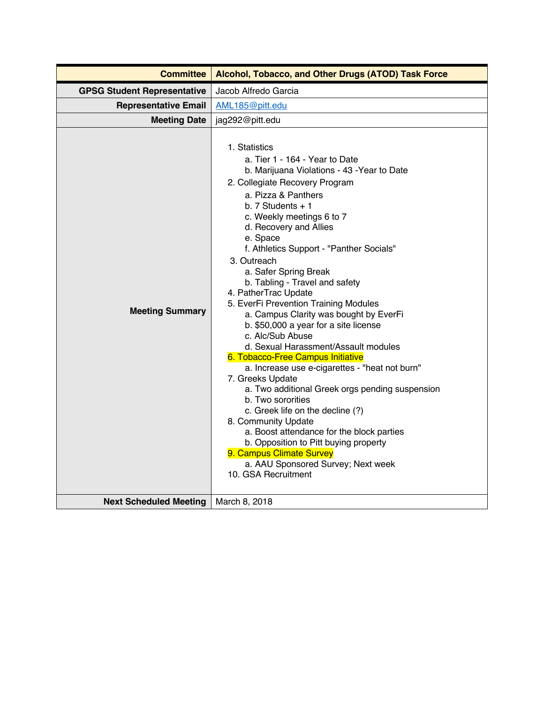| <b>GPSG Student Representative</b><br>Jacob Alfredo Garcia<br><b>Representative Email</b><br>AML185@pitt.edu<br><b>Meeting Date</b><br>jag292@pitt.edu<br>1. Statistics<br>a. Tier 1 - 164 - Year to Date<br>b. Marijuana Violations - 43 - Year to Date<br>2. Collegiate Recovery Program<br>a. Pizza & Panthers<br>b. $7$ Students $+1$<br>c. Weekly meetings 6 to 7<br>d. Recovery and Allies<br>e. Space<br>f. Athletics Support - "Panther Socials"<br>3. Outreach<br>a. Safer Spring Break<br>b. Tabling - Travel and safety<br>4. PatherTrac Update<br>5. EverFi Prevention Training Modules<br><b>Meeting Summary</b><br>a. Campus Clarity was bought by EverFi<br>b. \$50,000 a year for a site license<br>c. Alc/Sub Abuse<br>d. Sexual Harassment/Assault modules<br>6. Tobacco-Free Campus Initiative<br>a. Increase use e-cigarettes - "heat not burn"<br>7. Greeks Update<br>a. Two additional Greek orgs pending suspension<br>b. Two sororities<br>c. Greek life on the decline (?)<br>8. Community Update<br>a. Boost attendance for the block parties<br>b. Opposition to Pitt buying property<br>9. Campus Climate Survey<br>a. AAU Sponsored Survey; Next week<br>10. GSA Recruitment | <b>Committee</b> | Alcohol, Tobacco, and Other Drugs (ATOD) Task Force |
|-----------------------------------------------------------------------------------------------------------------------------------------------------------------------------------------------------------------------------------------------------------------------------------------------------------------------------------------------------------------------------------------------------------------------------------------------------------------------------------------------------------------------------------------------------------------------------------------------------------------------------------------------------------------------------------------------------------------------------------------------------------------------------------------------------------------------------------------------------------------------------------------------------------------------------------------------------------------------------------------------------------------------------------------------------------------------------------------------------------------------------------------------------------------------------------------------------------|------------------|-----------------------------------------------------|
|                                                                                                                                                                                                                                                                                                                                                                                                                                                                                                                                                                                                                                                                                                                                                                                                                                                                                                                                                                                                                                                                                                                                                                                                           |                  |                                                     |
|                                                                                                                                                                                                                                                                                                                                                                                                                                                                                                                                                                                                                                                                                                                                                                                                                                                                                                                                                                                                                                                                                                                                                                                                           |                  |                                                     |
|                                                                                                                                                                                                                                                                                                                                                                                                                                                                                                                                                                                                                                                                                                                                                                                                                                                                                                                                                                                                                                                                                                                                                                                                           |                  |                                                     |
| <b>Next Scheduled Meeting</b><br>March 8, 2018                                                                                                                                                                                                                                                                                                                                                                                                                                                                                                                                                                                                                                                                                                                                                                                                                                                                                                                                                                                                                                                                                                                                                            |                  |                                                     |